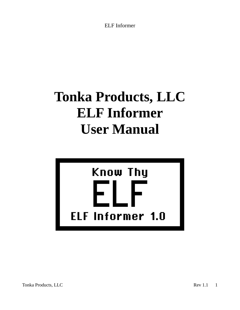# **Tonka Products, LLC ELF Informer User Manual**



Tonka Products, LLC Rev 1.1 1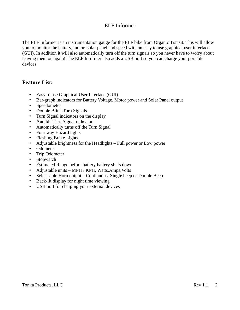The ELF Informer is an instrumentation gauge for the ELF bike from Organic Transit. This will allow you to monitor the battery, motor, solar panel and speed with an easy to use graphical user interface (GUI). In addition it will also automatically turn off the turn signals so you never have to worry about leaving them on again! The ELF Informer also adds a USB port so you can charge your portable devices.

#### **Feature List:**

- Easy to use Graphical User Interface (GUI)
- Bar-graph indicators for Battery Voltage, Motor power and Solar Panel output
- Speedometer
- Double Blink Turn Signals
- Turn Signal indicators on the display
- Audible Turn Signal indicator
- Automatically turns off the Turn Signal
- Four way Hazard lights
- Flashing Brake Lights
- Adjustable brightness for the Headlights Full power or Low power
- Odometer
- Trip Odometer
- Stopwatch
- Estimated Range before battery battery shuts down
- Adjustable units MPH / KPH, Watts,Amps,Volts
- Select-able Horn output Continuous, Single beep or Double Beep
- Back-lit display for night time viewing
- USB port for charging your external devices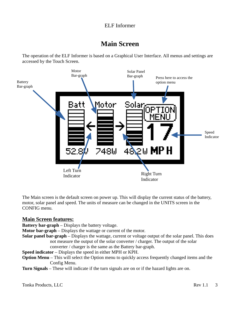### **Main Screen**

The operation of the ELF Informer is based on a Graphical User Interface. All menus and settings are accessed by the Touch Screen.



The Main screen is the default screen on power up. This will display the current status of the battery, motor, solar panel and speed. The units of measure can be changed in the UNITS screen in the CONFIG menu.

#### **Main Screen features:**

**Battery bar-graph** – Displays the battery voltage.

**Motor bar-graph** – Displays the wattage or current of the motor.

**Solar panel bar-graph** – Displays the wattage, current or voltage output of the solar panel. This does not measure the output of the solar converter / charger. The output of the solar converter / charger is the same as the Battery bar-graph.

**Speed indicator** – Displays the speed in either MPH or KPH.

- **Option Menu** This will select the Option menu to quickly access frequently changed items and the Config Menu.
- **Turn Signals** These will indicate if the turn signals are on or if the hazard lights are on.

**Tonka Products, LLC** Rev 1.1 3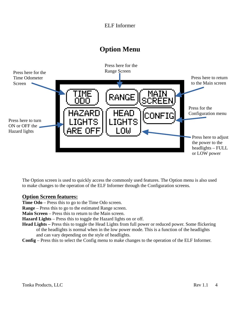# **Option Menu**



The Option screen is used to quickly access the commonly used features. The Option menu is also used to make changes to the operation of the ELF Informer through the Configuration screens.

#### **Option Screen features:**

**Time Odo** – Press this to go to the Time Odo screen.

**Range** – Press this to go to the estimated Range screen.

**Main Screen** – Press this to return to the Main screen.

**Hazard Lights** – Press this to toggle the Hazard lights on or off.

- **Head Lights –** Press this to toggle the Head Lights from full power or reduced power. Some flickering of the headlights is normal when in the low power mode. This is a function of the headlights and can vary depending on the style of headlights.
- **Config** Press this to select the Config menu to make changes to the operation of the ELF Informer.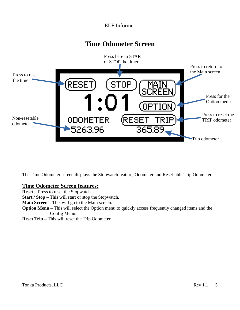### **Time Odometer Screen**



The Time Odometer screen displays the Stopwatch feature, Odometer and Reset-able Trip Odometer.

#### **Time Odometer Screen features:**

**Reset** – Press to reset the Stopwatch.

**Start / Stop** – This will start or stop the Stopwatch.

**Main Screen** – This will go to the Main screen.

**Option Menu** – This will select the Option menu to quickly access frequently changed items and the Config Menu.

**Reset Trip –** This will reset the Trip Odometer.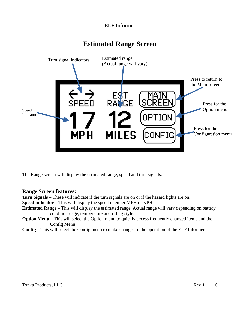# **Estimated Range Screen**



The Range screen will display the estimated range, speed and turn signals.

#### **Range Screen features:**

**Turn Signals** – These will indicate if the turn signals are on or if the hazard lights are on.

**Speed indicator** – This will display the speed in either MPH or KPH.

- **Estimated Range** This will display the estimated range. Actual range will vary depending on battery condition / age, temperature and riding style.
- **Option Menu** This will select the Option menu to quickly access frequently changed items and the Config Menu.
- **Config** This will select the Config menu to make changes to the operation of the ELF Informer.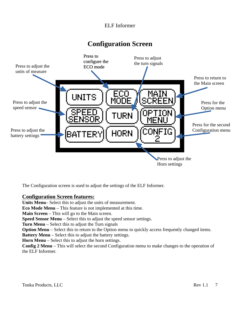### **Configuration Screen**



The Configuration screen is used to adjust the settings of the ELF Informer.

#### **Configuration Screen features:**

**Units Menu**– Select this to adjust the units of measurement.

**Eco Mode Menu** – This feature is not implemented at this time.

**Main Screen** – This will go to the Main screen.

**Speed Sensor Menu** – Select this to adjust the speed sensor settings.

**Turn Menu** – Select this to adjust the Turn signals

**Option Menu** – Select this to return to the Option menu to quickly access frequently changed items.

**Battery Menu** – Select this to adjust the battery settings.

**Horn Menu** – Select this to adjust the horn settings.

**Config 2 Menu** – This will select the second Configuration menu to make changes to the operation of the ELF Informer.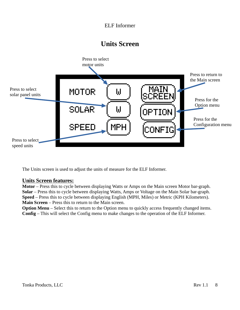### **Units Screen**



The Units screen is used to adjust the units of measure for the ELF Informer.

#### **Units Screen features:**

**Motor** – Press this to cycle between displaying Watts or Amps on the Main screen Motor bar-graph. **Solar** – Press this to cycle between displaying Watts, Amps or Voltage on the Main Solar bar-graph. **Speed** – Press this to cycle between displaying English (MPH, Miles) or Metric (KPH Kilometers). **Main Screen** – Press this to return to the Main screen.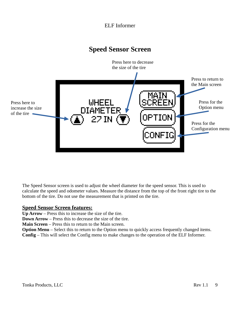### **Speed Sensor Screen**



The Speed Sensor screen is used to adjust the wheel diameter for the speed sensor. This is used to calculate the speed and odometer values. Measure the distance from the top of the front right tire to the bottom of the tire. Do not use the measurement that is printed on the tire.

#### **Speed Sensor Screen features:**

**Up Arrow** – Press this to increase the size of the tire.

**Down Arrow** – Press this to decrease the size of the tire.

**Main Screen** – Press this to return to the Main screen.

**Option Menu** – Select this to return to the Option menu to quickly access frequently changed items.

**Config** – This will select the Config menu to make changes to the operation of the ELF Informer.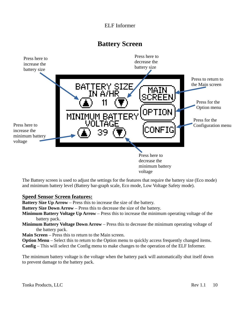**Battery Screen**



The Battery screen is used to adjust the settings for the features that require the battery size (Eco mode) and minimum battery level (Battery bar-graph scale, Eco mode, Low Voltage Safety mode).

#### **Speed Sensor Screen features:**

**Battery Size Up Arrow** – Press this to increase the size of the battery.

**Battery Size Down Arrow** – Press this to decrease the size of the battery.

- **Minimum Battery Voltage Up Arrow** Press this to increase the minimum operating voltage of the battery pack.
- **Minimum Battery Voltage Down Arrow** Press this to decrease the minimum operating voltage of the battery pack.

**Main Screen** – Press this to return to the Main screen.

**Option Menu** – Select this to return to the Option menu to quickly access frequently changed items. **Config** – This will select the Config menu to make changes to the operation of the ELF Informer.

The minimum battery voltage is the voltage when the battery pack will automatically shut itself down to prevent damage to the battery pack.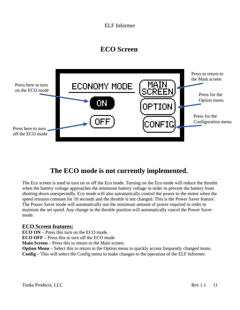# **ECO Screen**

![](_page_10_Figure_2.jpeg)

# **The ECO mode is not currently implemented.**

The Eco screen is used to turn on or off the Eco mode. Turning on the Eco mode will reduce the throttle when the battery voltage approaches the minimum battery voltage in order to prevent the battery from shutting down unexpectedly. Eco mode will also automatically control the power to the motor when the speed remains constant for 10 seconds and the throttle is not changed. This is the Power Saver feature. The Power Saver mode will automatically use the minimum amount of power required in order to maintain the set speed. Any change in the throttle position will automatically cancel the Power Saver mode.

#### **ECO Screen features:**

**ECO ON** – Press this turn on the ECO mode.

**ECO OFF** – Press this to turn off the ECO mode

**Main Screen** – Press this to return to the Main screen.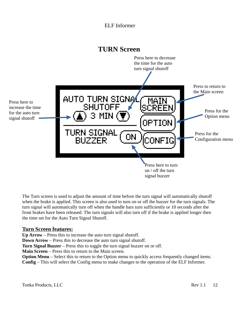![](_page_11_Figure_1.jpeg)

The Turn screen is used to adjust the amount of time before the turn signal will automatically shutoff when the brake is applied. This screen is also used to turn on or off the buzzer for the turn signals. The turn signal will automatically turn off when the handle bars turn sufficiently or 10 seconds after the front brakes have been released. The turn signals will also turn off if the brake is applied longer then the time set for the Auto Turn Signal Shutoff.

#### **Turn Screen features:**

**Up Arrow** – Press this to increase the auto turn signal shutoff.

**Down Arrow** – Press this to decrease the auto turn signal shutoff.

**Turn Signal Buzzer** – Press this to toggle the turn signal buzzer on or off.

**Main Screen** – Press this to return to the Main screen.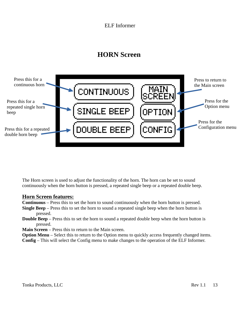# **HORN Screen**

![](_page_12_Figure_2.jpeg)

The Horn screen is used to adjust the functionality of the horn. The horn can be set to sound continuously when the horn button is pressed, a repeated single beep or a repeated double beep.

#### **Horn Screen features:**

**Continuous** – Press this to set the horn to sound continuously when the horn button is pressed. **Single Beep** – Press this to set the horn to sound a repeated single beep when the horn button is

- pressed.
- **Double Beep** Press this to set the horn to sound a repeated double beep when the horn button is pressed.

**Main Screen** – Press this to return to the Main screen.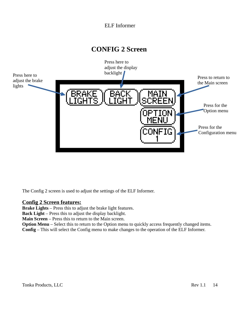### **CONFIG 2 Screen**

![](_page_13_Figure_2.jpeg)

The Config 2 screen is used to adjust the settings of the ELF Informer.

#### **Config 2 Screen features:**

**Brake Lights** – Press this to adjust the brake light features.

**Back Light** – Press this to adjust the display backlight.

**Main Screen** – Press this to return to the Main screen.

**Option Menu** – Select this to return to the Option menu to quickly access frequently changed items.

**Config** – This will select the Config menu to make changes to the operation of the ELF Informer.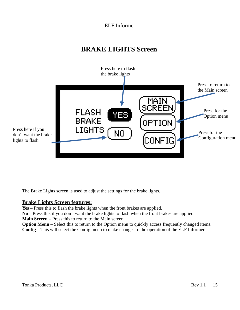# **BRAKE LIGHTS Screen**

![](_page_14_Picture_2.jpeg)

The Brake Lights screen is used to adjust the settings for the brake lights.

#### **Brake Lights Screen features:**

**Yes** – Press this to flash the brake lights when the front brakes are applied.

**No** – Press this if you don't want the brake lights to flash when the front brakes are applied.

**Main Screen** – Press this to return to the Main screen.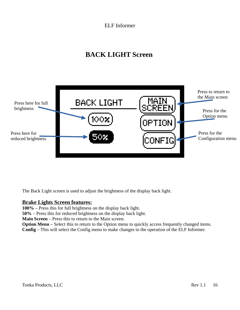# **BACK LIGHT Screen**

![](_page_15_Figure_2.jpeg)

The Back Light screen is used to adjust the brightness of the display back light.

#### **Brake Lights Screen features:**

**100%** – Press this for full brightness on the display back light.

**50%** – Press this for reduced brightness on the display back light.

**Main Screen** – Press this to return to the Main screen.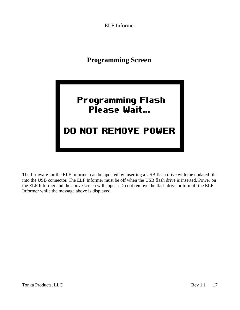**Programming Screen**

![](_page_16_Picture_2.jpeg)

The firmware for the ELF Informer can be updated by inserting a USB flash drive with the updated file into the USB connector. The ELF Informer must be off when the USB flash drive is inserted. Power on the ELF Informer and the above screen will appear. Do not remove the flash drive or turn off the ELF Informer while the message above is displayed.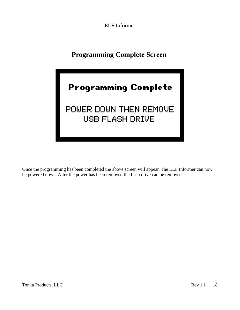# **Programming Complete Screen**

![](_page_17_Picture_2.jpeg)

# POWER DOWN THEN REMOVE USB FLASH DRIVE

Once the programming has been completed the above screen will appear. The ELF Informer can now be powered down. After the power has been removed the flash drive can be removed.